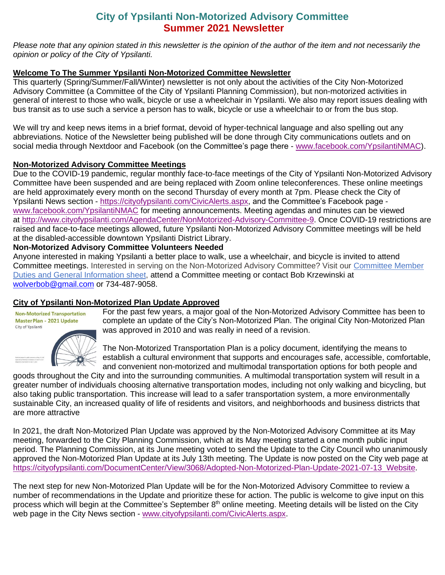# **City of Ypsilanti Non-Motorized Advisory Committee Summer 2021 Newsletter**

*Please note that any opinion stated in this newsletter is the opinion of the author of the item and not necessarily the opinion or policy of the City of Ypsilanti.* 

#### **Welcome To The Summer Ypsilanti Non-Motorized Committee Newsletter**

This quarterly (Spring/Summer/Fall/Winter) newsletter is not only about the activities of the City Non-Motorized Advisory Committee (a Committee of the City of Ypsilanti Planning Commission), but non-motorized activities in general of interest to those who walk, bicycle or use a wheelchair in Ypsilanti. We also may report issues dealing with bus transit as to use such a service a person has to walk, bicycle or use a wheelchair to or from the bus stop.

We will try and keep news items in a brief format, devoid of hyper-technical language and also spelling out any abbreviations. Notice of the Newsletter being published will be done through City communications outlets and on social media through Nextdoor and Facebook (on the Committee's page there - [www.facebook.com/YpsilantiNMAC\)](http://www.facebook.com/YpsilantiNMAC).

#### **Non-Motorized Advisory Committee Meetings**

Due to the COVID-19 pandemic, regular monthly face-to-face meetings of the City of Ypsilanti Non-Motorized Advisory Committee have been suspended and are being replaced with Zoom online teleconferences. These online meetings are held approximately every month on the second Thursday of every month at 7pm. Please check the City of Ypsilanti News section - [https://cityofypsilanti.com/CivicAlerts.aspx,](https://cityofypsilanti.com/CivicAlerts.aspx) and the Committee's Facebook page [www.facebook.com/YpsilantiNMAC](http://www.facebook.com/YpsilantiNMAC) for meeting announcements. Meeting agendas and minutes can be viewed at [http://www.cityofypsilanti.com/AgendaCenter/NonMotorized-Advisory-Committee-9.](http://www.cityofypsilanti.com/AgendaCenter/NonMotorized-Advisory-Committee-9) Once COVID-19 restrictions are raised and face-to-face meetings allowed, future Ypsilanti Non-Motorized Advisory Committee meetings will be held at the disabled-accessible downtown Ypsilanti District Library.

#### **Non-Motorized Advisory Committee Volunteers Needed**

Anyone interested in making Ypsilanti a better place to walk, use a wheelchair, and bicycle is invited to attend Committee meetings. Interested in serving on the Non-Motorized Advisory Committee? Visit our [Committee Member](https://848c9055-5909-4e26-b59d-68e9909974e5.filesusr.com/ugd/50be72_961784bee1594d6ba2213d0d1726a7b2.pdf)  [Duties and General Information sheet,](https://848c9055-5909-4e26-b59d-68e9909974e5.filesusr.com/ugd/50be72_961784bee1594d6ba2213d0d1726a7b2.pdf) attend a Committee meeting or contact Bob Krzewinski at [wolverbob@gmail.com](mailto:wolverbob@gmail.com) or 734-487-9058.

# **City of Ypsilanti Non-Motorized Plan Update Approved**

**Non-Motorized Transportation** Master Plan - 2021 Update City of Ypsilanti



For the past few years, a major goal of the Non-Motorized Advisory Committee has been to complete an update of the City's Non-Motorized Plan. The original City Non-Motorized Plan was approved in 2010 and was really in need of a revision.

The Non-Motorized Transportation Plan is a policy document, identifying the means to establish a cultural environment that supports and encourages safe, accessible, comfortable, and convenient non-motorized and multimodal transportation options for both people and

goods throughout the City and into the surrounding communities. A multimodal transportation system will result in a greater number of individuals choosing alternative transportation modes, including not only walking and bicycling, but also taking public transportation. This increase will lead to a safer transportation system, a more environmentally sustainable City, an increased quality of life of residents and visitors, and neighborhoods and business districts that are more attractive

In 2021, the draft Non-Motorized Plan Update was approved by the Non-Motorized Advisory Committee at its May meeting, forwarded to the City Planning Commission, which at its May meeting started a one month public input period. The Planning Commission, at its June meeting voted to send the Update to the City Council who unanimously approved the Non-Motorized Plan Update at its July 13th meeting. The Update is now posted on the City web page at [https://cityofypsilanti.com/DocumentCenter/View/3068/Adopted-Non-Motorized-Plan-Update-2021-07-13\\_Website.](https://cityofypsilanti.com/DocumentCenter/View/3068/Adopted-Non-Motorized-Plan-Update-2021-07-13_Website)

The next step for new Non-Motorized Plan Update will be for the Non-Motorized Advisory Committee to review a number of recommendations in the Update and prioritize these for action. The public is welcome to give input on this process which will begin at the Committee's September 8<sup>th</sup> online meeting. Meeting details will be listed on the City web page in the City News section - [www.cityofypsilanti.com/CivicAlerts.aspx.](http://www.cityofypsilanti.com/CivicAlerts.aspx)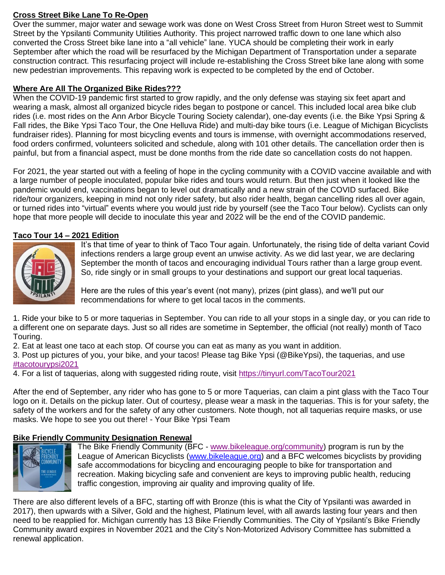# **Cross Street Bike Lane To Re-Open**

Over the summer, major water and sewage work was done on West Cross Street from Huron Street west to Summit Street by the Ypsilanti Community Utilities Authority. This project narrowed traffic down to one lane which also converted the Cross Street bike lane into a "all vehicle" lane. YUCA should be completing their work in early September after which the road will be resurfaced by the Michigan Department of Transportation under a separate construction contract. This resurfacing project will include re-establishing the Cross Street bike lane along with some new pedestrian improvements. This repaving work is expected to be completed by the end of October.

#### **Where Are All The Organized Bike Rides???**

When the COVID-19 pandemic first started to grow rapidly, and the only defense was staying six feet apart and wearing a mask, almost all organized bicycle rides began to postpone or cancel. This included local area bike club rides (i.e. most rides on the Ann Arbor Bicycle Touring Society calendar), one-day events (i.e. the Bike Ypsi Spring & Fall rides, the Bike Ypsi Taco Tour, the One Helluva Ride) and multi-day bike tours (i.e. League of Michigan Bicyclists fundraiser rides). Planning for most bicycling events and tours is immense, with overnight accommodations reserved, food orders confirmed, volunteers solicited and schedule, along with 101 other details. The cancellation order then is painful, but from a financial aspect, must be done months from the ride date so cancellation costs do not happen.

For 2021, the year started out with a feeling of hope in the cycling community with a COVID vaccine available and with a large number of people inoculated, popular bike rides and tours would return. But then just when it looked like the pandemic would end, vaccinations began to level out dramatically and a new strain of the COVID surfaced. Bike ride/tour organizers, keeping in mind not only rider safety, but also rider health, began cancelling rides all over again, or turned rides into "virtual" events where you would just ride by yourself (see the Taco Tour below). Cyclists can only hope that more people will decide to inoculate this year and 2022 will be the end of the COVID pandemic.

#### **Taco Tour 14 – 2021 Edition**



It's that time of year to think of Taco Tour again. Unfortunately, the rising tide of delta variant Covid infections renders a large group event an unwise activity. As we did last year, we are declaring September the month of tacos and encouraging individual Tours rather than a large group event. So, ride singly or in small groups to your destinations and support our great local taquerias.

Here are the rules of this year's event (not many), prizes (pint glass), and we'll put our recommendations for where to get local tacos in the comments.

1. Ride your bike to 5 or more taquerias in September. You can ride to all your stops in a single day, or you can ride to a different one on separate days. Just so all rides are sometime in September, the official (not really) month of Taco Touring.

2. Eat at least one taco at each stop. Of course you can eat as many as you want in addition.

3. Post up pictures of you, your bike, and your tacos! Please tag Bike Ypsi (@BikeYpsi), the taquerias, and use [#tacotourypsi2021](https://www.facebook.com/hashtag/tacotourypsi2021?__eep__=6&__cft__%5b0%5d=AZXoI6OBs00TU1-Q4zWC4Xj2DYOemUTJbf2_tiMDWy8IvSsIHv1imEijgrCUQtqH2e7NdfEwxI-lpJe9SLr7O68sn4KkgS2k-P-DxRflT7kXKiutMA3_-hzxwTqHvjMRgOD_bSPRWvQ8Ka00STDGba0Msj-1B3gDqZu0uI4M14JzHskLEd5Ey3Ek-WI_fKeZY_0&__tn__=*NK-R)

4. For a list of taquerias, along with suggested riding route, visit<https://tinyurl.com/TacoTour2021>

After the end of September, any rider who has gone to 5 or more Taquerias, can claim a pint glass with the Taco Tour logo on it. Details on the pickup later. Out of courtesy, please wear a mask in the taquerias. This is for your safety, the safety of the workers and for the safety of any other customers. Note though, not all taquerias require masks, or use masks. We hope to see you out there! - Your Bike Ypsi Team

# **Bike Friendly Community Designation Renewal**



The Bike Friendly Community (BFC - [www.bikeleague.org/community\)](http://www.bikeleague.org/community) program is run by the League of American Bicyclists [\(www.bikeleague.org\)](http://www.bikeleague.org/) and a BFC welcomes bicyclists by providing safe accommodations for bicycling and encouraging people to bike for transportation and recreation. Making bicycling safe and convenient are keys to improving public health, reducing traffic congestion, improving air quality and improving quality of life.

There are also different levels of a BFC, starting off with Bronze (this is what the City of Ypsilanti was awarded in 2017), then upwards with a Silver, Gold and the highest, Platinum level, with all awards lasting four years and then need to be reapplied for. Michigan currently has 13 Bike Friendly Communities. The City of Ypsilanti's Bike Friendly Community award expires in November 2021 and the City's Non-Motorized Advisory Committee has submitted a renewal application.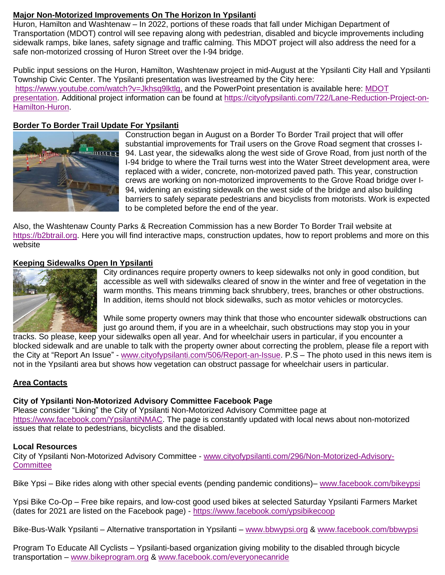# **Major Non-Motorized Improvements On The Horizon In Ypsilanti**

Huron, Hamilton and Washtenaw – In 2022, portions of these roads that fall under Michigan Department of Transportation (MDOT) control will see repaving along with pedestrian, disabled and bicycle improvements including sidewalk ramps, bike lanes, safety signage and traffic calming. This MDOT project will also address the need for a safe non-motorized crossing of Huron Street over the I-94 bridge.

Public input sessions on the Huron, Hamilton, Washtenaw project in mid-August at the Ypsilanti City Hall and Ypsilanti Township Civic Center. The Ypsilanti presentation was livestreamed by the City here: <https://www.youtube.com/watch?v=Jkhsq9lktlg,> and the PowerPoint presentation is available here: MDOT [presentation.](https://cityofypsilanti.com/DocumentCenter/View/3062) Additional project information can be found at [https://cityofypsilanti.com/722/Lane-Reduction-Project-on-](https://cityofypsilanti.com/722/Lane-Reduction-Project-on-Hamilton-Huron)[Hamilton-Huron.](https://cityofypsilanti.com/722/Lane-Reduction-Project-on-Hamilton-Huron)

# **Border To Border Trail Update For Ypsilanti**



Construction began in August on a Border To Border Trail project that will offer substantial improvements for Trail users on the Grove Road segment that crosses I-94. Last year, the sidewalks along the west side of Grove Road, from just north of the I-94 bridge to where the Trail turns west into the Water Street development area, were replaced with a wider, concrete, non-motorized paved path. This year, construction crews are working on non-motorized improvements to the Grove Road bridge over I-94, widening an existing sidewalk on the west side of the bridge and also building barriers to safely separate pedestrians and bicyclists from motorists. Work is expected to be completed before the end of the year.

Also, the Washtenaw County Parks & Recreation Commission has a new Border To Border Trail website at [https://b2btrail.org.](https://b2btrail.org/) Here you will find interactive maps, construction updates, how to report problems and more on this website

# **Keeping Sidewalks Open In Ypsilanti**



City ordinances require property owners to keep sidewalks not only in good condition, but accessible as well with sidewalks cleared of snow in the winter and free of vegetation in the warm months. This means trimming back shrubbery, trees, branches or other obstructions. In addition, items should not block sidewalks, such as motor vehicles or motorcycles.

While some property owners may think that those who encounter sidewalk obstructions can just go around them, if you are in a wheelchair, such obstructions may stop you in your

tracks. So please, keep your sidewalks open all year. And for wheelchair users in particular, if you encounter a blocked sidewalk and are unable to talk with the property owner about correcting the problem, please file a report with the City at "Report An Issue" - [www.cityofypsilanti.com/506/Report-an-Issue.](http://www.cityofypsilanti.com/506/Report-an-Issue) P.S – The photo used in this news item is not in the Ypsilanti area but shows how vegetation can obstruct passage for wheelchair users in particular.

# **Area Contacts**

# **City of Ypsilanti Non-Motorized Advisory Committee Facebook Page**

Please consider "Liking" the City of Ypsilanti Non-Motorized Advisory Committee page at [https://www.facebook.com/YpsilantiNMAC.](https://www.facebook.com/YpsilantiNMAC) The page is constantly updated with local news about non-motorized issues that relate to pedestrians, bicyclists and the disabled.

# **Local Resources**

City of Ypsilanti Non-Motorized Advisory Committee - [www.cityofypsilanti.com/296/Non-Motorized-Advisory-](http://www.cityofypsilanti.com/296/Non-Motorized-Advisory-Committee)**[Committee](http://www.cityofypsilanti.com/296/Non-Motorized-Advisory-Committee)** 

Bike Ypsi – Bike rides along with other special events (pending pandemic conditions)– [www.facebook.com/bikeypsi](http://www.facebook.com/bikeypsi)

Ypsi Bike Co-Op – Free bike repairs, and low-cost good used bikes at selected Saturday Ypsilanti Farmers Market (dates for 2021 are listed on the Facebook page) - <https://www.facebook.com/ypsibikecoop>

Bike-Bus-Walk Ypsilanti – Alternative transportation in Ypsilanti – [www.bbwypsi.org](http://www.bbwypsi.org/) & [www.facebook.com/bbwypsi](http://www.facebook.com/bbwypsi)

Program To Educate All Cyclists – Ypsilanti-based organization giving mobility to the disabled through bicycle transportation – [www.bikeprogram.org](http://www.bikeprogram.org/) & [www.facebook.com/everyonecanride](http://www.facebook.com/everyonecanride)